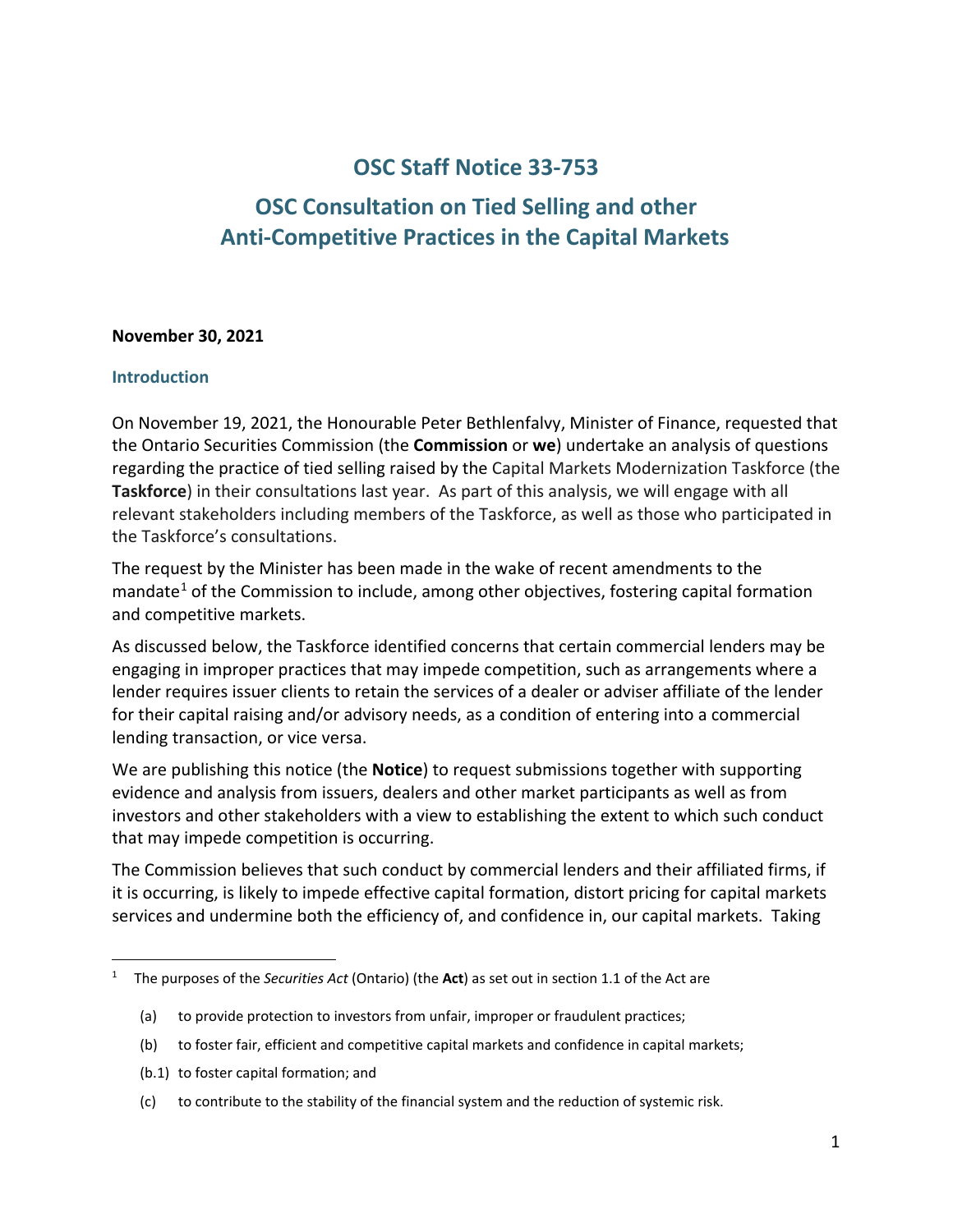# **OSC Staff Notice 33-753**

# **OSC Consultation on Tied Selling and other Anti-Competitive Practices in the Capital Markets**

#### **November 30, 2021**

#### **Introduction**

On November 19, 2021, the Honourable Peter Bethlenfalvy, Minister of Finance, requested that the Ontario Securities Commission (the **Commission** or **we**) undertake an analysis of questions regarding the practice of tied selling raised by the Capital Markets Modernization Taskforce (the **Taskforce**) in their consultations last year. As part of this analysis, we will engage with all relevant stakeholders including members of the Taskforce, as well as those who participated in the Taskforce's consultations.

The request by the Minister has been made in the wake of recent amendments to the mandate<sup>[1](#page-0-0)</sup> of the Commission to include, among other objectives, fostering capital formation and competitive markets.

As discussed below, the Taskforce identified concerns that certain commercial lenders may be engaging in improper practices that may impede competition, such as arrangements where a lender requires issuer clients to retain the services of a dealer or adviser affiliate of the lender for their capital raising and/or advisory needs, as a condition of entering into a commercial lending transaction, or vice versa.

We are publishing this notice (the **Notice**) to request submissions together with supporting evidence and analysis from issuers, dealers and other market participants as well as from investors and other stakeholders with a view to establishing the extent to which such conduct that may impede competition is occurring.

The Commission believes that such conduct by commercial lenders and their affiliated firms, if it is occurring, is likely to impede effective capital formation, distort pricing for capital markets services and undermine both the efficiency of, and confidence in, our capital markets. Taking

- (b.1) to foster capital formation; and
- (c) to contribute to the stability of the financial system and the reduction of systemic risk.

<span id="page-0-0"></span><sup>1</sup> The purposes of the *Securities Act* (Ontario) (the **Act**) as set out in section 1.1 of the Act are

<sup>(</sup>a) to provide protection to investors from unfair, improper or fraudulent practices;

<sup>(</sup>b) to foster fair, efficient and competitive capital markets and confidence in capital markets;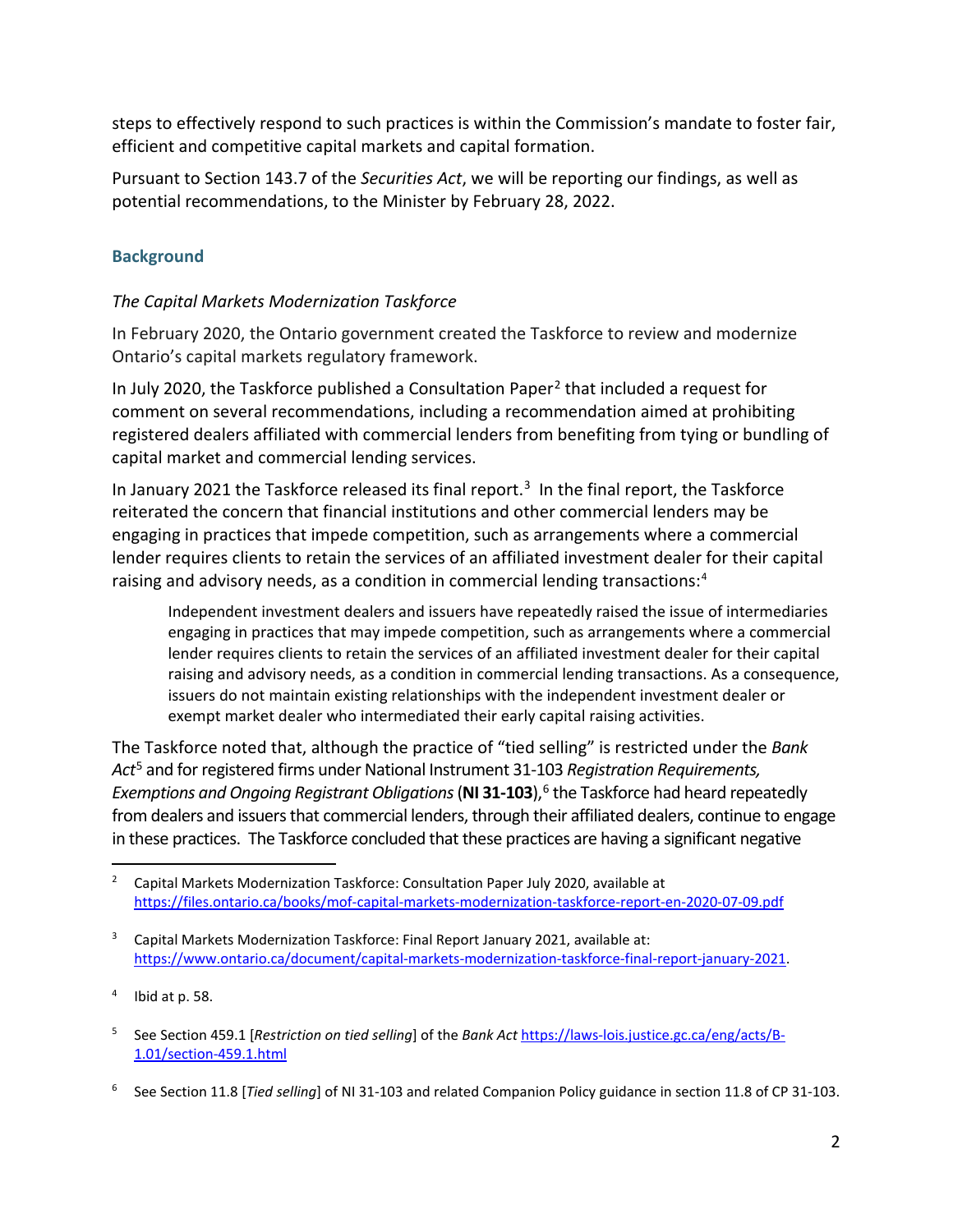steps to effectively respond to such practices is within the Commission's mandate to foster fair, efficient and competitive capital markets and capital formation.

Pursuant to Section 143.7 of the *Securities Act*, we will be reporting our findings, as well as potential recommendations, to the Minister by February 28, 2022.

# **Background**

## *The Capital Markets Modernization Taskforce*

In February 2020, the Ontario government created the Taskforce to review and modernize Ontario's capital markets regulatory framework.

In July [2](#page-1-0)020, the Taskforce published a Consultation Paper<sup>2</sup> that included a request for comment on several recommendations, including a recommendation aimed at prohibiting registered dealers affiliated with commercial lenders from benefiting from tying or bundling of capital market and commercial lending services.

In January 2021 the Taskforce released its final report. [3](#page-1-1) In the final report, the Taskforce reiterated the concern that financial institutions and other commercial lenders may be engaging in practices that impede competition, such as arrangements where a commercial lender requires clients to retain the services of an affiliated investment dealer for their capital raising and advisory needs, as a condition in commercial lending transactions: [4](#page-1-2)

Independent investment dealers and issuers have repeatedly raised the issue of intermediaries engaging in practices that may impede competition, such as arrangements where a commercial lender requires clients to retain the services of an affiliated investment dealer for their capital raising and advisory needs, as a condition in commercial lending transactions. As a consequence, issuers do not maintain existing relationships with the independent investment dealer or exempt market dealer who intermediated their early capital raising activities.

The Taskforce noted that, although the practice of "tied selling" is restricted under the *Bank Act*[5](#page-1-3) and for registered firms under National Instrument 31-103 *Registration Requirements, Exemptions and Ongoing Registrant Obligations* (**NI 31-103**),<sup>[6](#page-1-4)</sup> the Taskforce had heard repeatedly from dealers and issuers that commercial lenders, through their affiliated dealers, continue to engage in these practices. The Taskforce concluded that these practices are having a significant negative

<span id="page-1-0"></span><sup>2</sup> Capital Markets Modernization Taskforce: Consultation Paper July 2020, available at <https://files.ontario.ca/books/mof-capital-markets-modernization-taskforce-report-en-2020-07-09.pdf>

<span id="page-1-1"></span><sup>&</sup>lt;sup>3</sup> Capital Markets Modernization Taskforce: Final Report January 2021, available at: [https://www.ontario.ca/document/capital-markets-modernization-taskforce-final-report-january-2021.](https://www.ontario.ca/document/capital-markets-modernization-taskforce-final-report-january-2021)

<span id="page-1-2"></span><sup>4</sup> Ibid at p. 58.

<span id="page-1-3"></span><sup>5</sup> See Section 459.1 [*Restriction on tied selling*] of the *Bank Act* [https://laws-lois.justice.gc.ca/eng/acts/B-](https://laws-lois.justice.gc.ca/eng/acts/B-1.01/section-459.1.html)[1.01/section-459.1.html](https://laws-lois.justice.gc.ca/eng/acts/B-1.01/section-459.1.html)

<span id="page-1-4"></span><sup>6</sup> See Section 11.8 [*Tied selling*] of NI 31-103 and related Companion Policy guidance in section 11.8 of CP 31-103.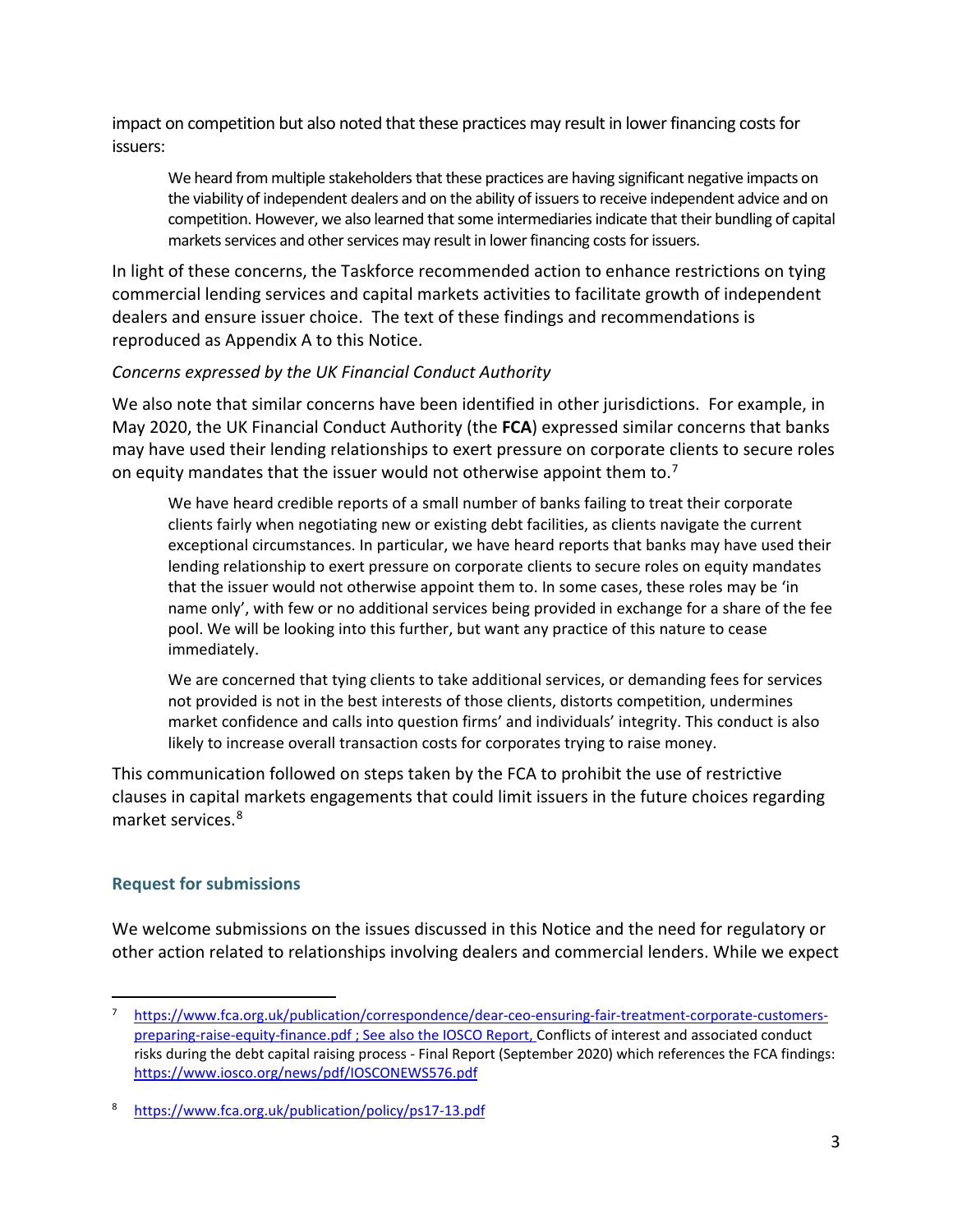impact on competition but also noted that these practices may result in lower financing costs for issuers:

We heard from multiple stakeholders that these practices are having significant negative impacts on the viability of independent dealers and on the ability of issuers to receive independent advice and on competition. However, we also learned that some intermediaries indicate that their bundling of capital markets services and other services may result in lower financing costs for issuers.

In light of these concerns, the Taskforce recommended action to enhance restrictions on tying commercial lending services and capital markets activities to facilitate growth of independent dealers and ensure issuer choice. The text of these findings and recommendations is reproduced as Appendix A to this Notice.

#### *Concerns expressed by the UK Financial Conduct Authority*

We also note that similar concerns have been identified in other jurisdictions. For example, in May 2020, the UK Financial Conduct Authority (the **FCA**) expressed similar concerns that banks may have used their lending relationships to exert pressure on corporate clients to secure roles on equity mandates that the issuer would not otherwise appoint them to.<sup>[7](#page-2-0)</sup>

We have heard credible reports of a small number of banks failing to treat their corporate clients fairly when negotiating new or existing debt facilities, as clients navigate the current exceptional circumstances. In particular, we have heard reports that banks may have used their lending relationship to exert pressure on corporate clients to secure roles on equity mandates that the issuer would not otherwise appoint them to. In some cases, these roles may be 'in name only', with few or no additional services being provided in exchange for a share of the fee pool. We will be looking into this further, but want any practice of this nature to cease immediately.

We are concerned that tying clients to take additional services, or demanding fees for services not provided is not in the best interests of those clients, distorts competition, undermines market confidence and calls into question firms' and individuals' integrity. This conduct is also likely to increase overall transaction costs for corporates trying to raise money.

This communication followed on steps taken by the FCA to prohibit the use of restrictive clauses in capital markets engagements that could limit issuers in the future choices regarding market services.[8](#page-2-1)

### **Request for submissions**

We welcome submissions on the issues discussed in this Notice and the need for regulatory or other action related to relationships involving dealers and commercial lenders. While we expect

<span id="page-2-0"></span><sup>7</sup> [https://www.fca.org.uk/publication/correspondence/dear-ceo-ensuring-fair-treatment-corporate-customers](https://www.fca.org.uk/publication/correspondence/dear-ceo-ensuring-fair-treatment-corporate-customers-preparing-raise-equity-finance.pdf)[preparing-raise-equity-finance.pdf](https://www.fca.org.uk/publication/correspondence/dear-ceo-ensuring-fair-treatment-corporate-customers-preparing-raise-equity-finance.pdf) ; See also the IOSCO Report, Conflicts of interest and associated conduct risks during the debt capital raising process - Final Report (September 2020) which references the FCA findings: <https://www.iosco.org/news/pdf/IOSCONEWS576.pdf>

<span id="page-2-1"></span><sup>8</sup> <https://www.fca.org.uk/publication/policy/ps17-13.pdf>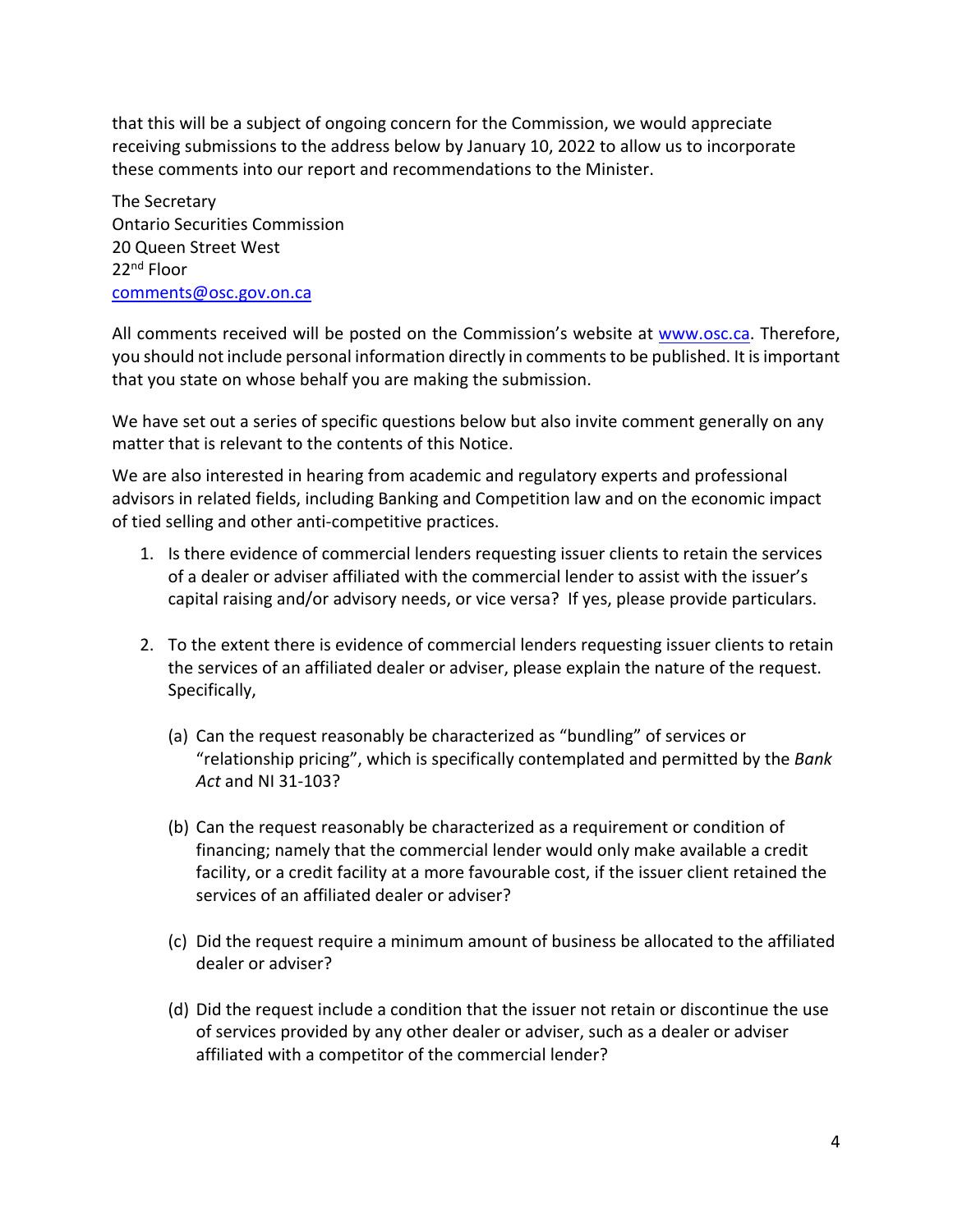that this will be a subject of ongoing concern for the Commission, we would appreciate receiving submissions to the address below by January 10, 2022 to allow us to incorporate these comments into our report and recommendations to the Minister.

The Secretary Ontario Securities Commission 20 Queen Street West 22nd Floor [comments@osc.gov.on.ca](mailto:comments@osc.gov.on.ca)

All comments received will be posted on the Commission's website at [www.osc.ca.](http://www.osc.ca/) Therefore, you should not include personal information directly in comments to be published. It is important that you state on whose behalf you are making the submission.

We have set out a series of specific questions below but also invite comment generally on any matter that is relevant to the contents of this Notice.

We are also interested in hearing from academic and regulatory experts and professional advisors in related fields, including Banking and Competition law and on the economic impact of tied selling and other anti-competitive practices.

- 1. Is there evidence of commercial lenders requesting issuer clients to retain the services of a dealer or adviser affiliated with the commercial lender to assist with the issuer's capital raising and/or advisory needs, or vice versa? If yes, please provide particulars.
- 2. To the extent there is evidence of commercial lenders requesting issuer clients to retain the services of an affiliated dealer or adviser, please explain the nature of the request. Specifically,
	- (a) Can the request reasonably be characterized as "bundling" of services or "relationship pricing", which is specifically contemplated and permitted by the *Bank Act* and NI 31-103?
	- (b) Can the request reasonably be characterized as a requirement or condition of financing; namely that the commercial lender would only make available a credit facility, or a credit facility at a more favourable cost, if the issuer client retained the services of an affiliated dealer or adviser?
	- (c) Did the request require a minimum amount of business be allocated to the affiliated dealer or adviser?
	- (d) Did the request include a condition that the issuer not retain or discontinue the use of services provided by any other dealer or adviser, such as a dealer or adviser affiliated with a competitor of the commercial lender?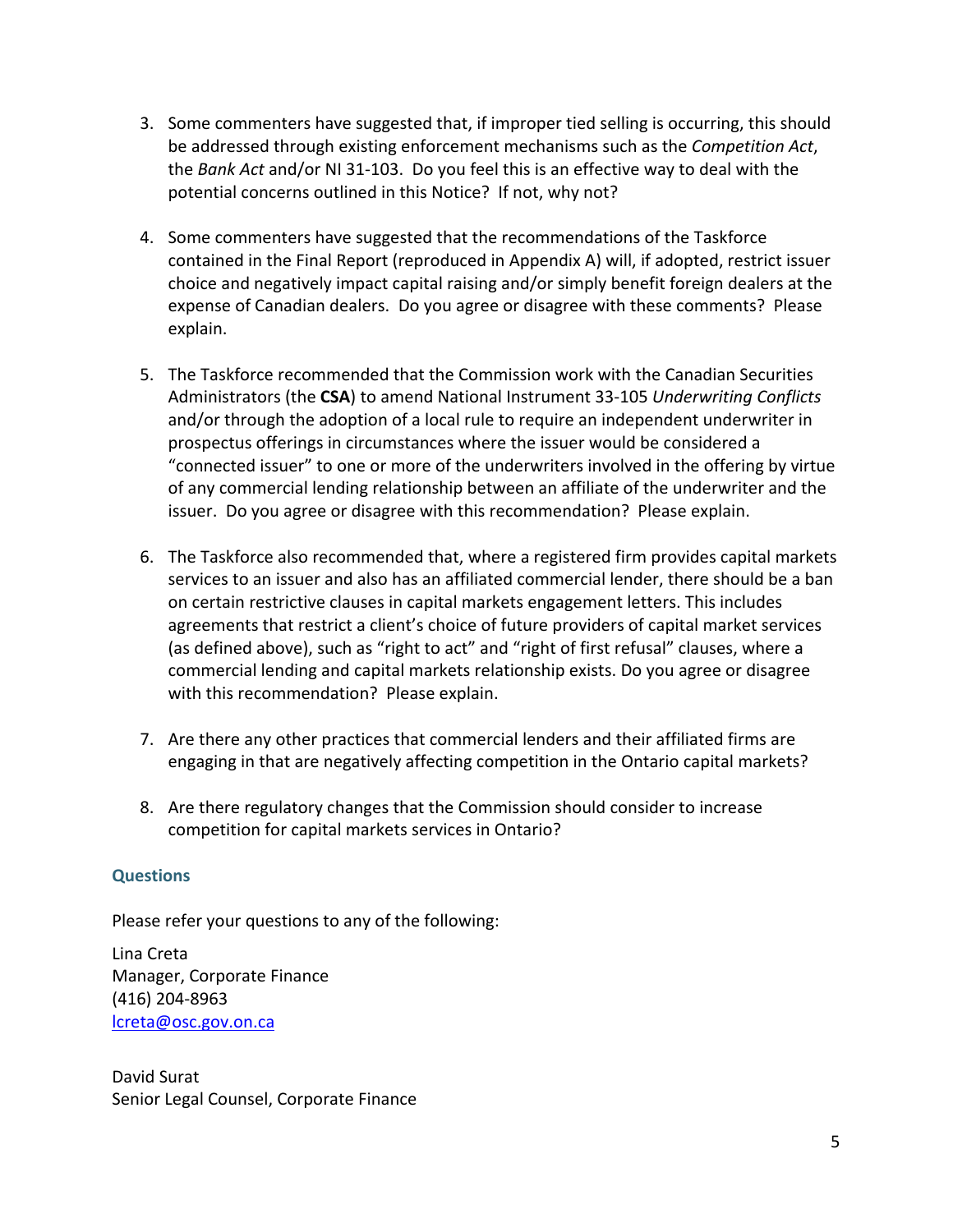- 3. Some commenters have suggested that, if improper tied selling is occurring, this should be addressed through existing enforcement mechanisms such as the *Competition Act*, the *Bank Act* and/or NI 31-103. Do you feel this is an effective way to deal with the potential concerns outlined in this Notice? If not, why not?
- 4. Some commenters have suggested that the recommendations of the Taskforce contained in the Final Report (reproduced in Appendix A) will, if adopted, restrict issuer choice and negatively impact capital raising and/or simply benefit foreign dealers at the expense of Canadian dealers. Do you agree or disagree with these comments? Please explain.
- 5. The Taskforce recommended that the Commission work with the Canadian Securities Administrators (the **CSA**) to amend National Instrument 33-105 *Underwriting Conflicts* and/or through the adoption of a local rule to require an independent underwriter in prospectus offerings in circumstances where the issuer would be considered a "connected issuer" to one or more of the underwriters involved in the offering by virtue of any commercial lending relationship between an affiliate of the underwriter and the issuer. Do you agree or disagree with this recommendation? Please explain.
- 6. The Taskforce also recommended that, where a registered firm provides capital markets services to an issuer and also has an affiliated commercial lender, there should be a ban on certain restrictive clauses in capital markets engagement letters. This includes agreements that restrict a client's choice of future providers of capital market services (as defined above), such as "right to act" and "right of first refusal" clauses, where a commercial lending and capital markets relationship exists. Do you agree or disagree with this recommendation? Please explain.
- 7. Are there any other practices that commercial lenders and their affiliated firms are engaging in that are negatively affecting competition in the Ontario capital markets?
- 8. Are there regulatory changes that the Commission should consider to increase competition for capital markets services in Ontario?

#### **Questions**

Please refer your questions to any of the following:

Lina Creta Manager, Corporate Finance (416) 204-8963 [lcreta@osc.gov.on.ca](mailto:lcreta@osc.gov.on.ca)

David Surat Senior Legal Counsel, Corporate Finance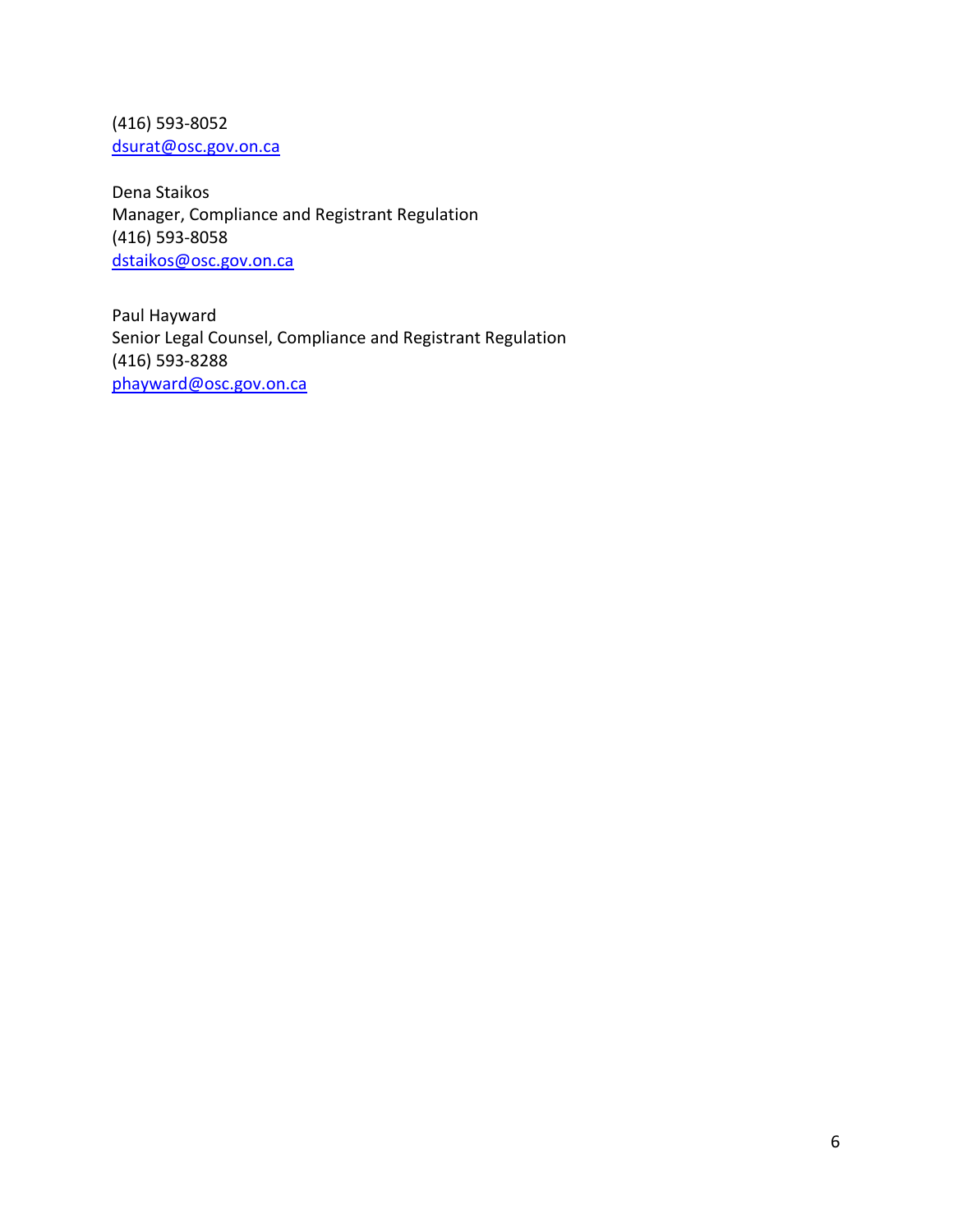(416) 593-8052 [dsurat@osc.gov.on.ca](mailto:dsurat@osc.gov.on.ca)

Dena Staikos Manager, Compliance and Registrant Regulation (416) 593-8058 [dstaikos@osc.gov.on.ca](mailto:dstaikos@osc.gov.on.ca)

Paul Hayward Senior Legal Counsel, Compliance and Registrant Regulation (416) 593-8288 [phayward@osc.gov.on.ca](mailto:phayward@osc.gov.on.ca)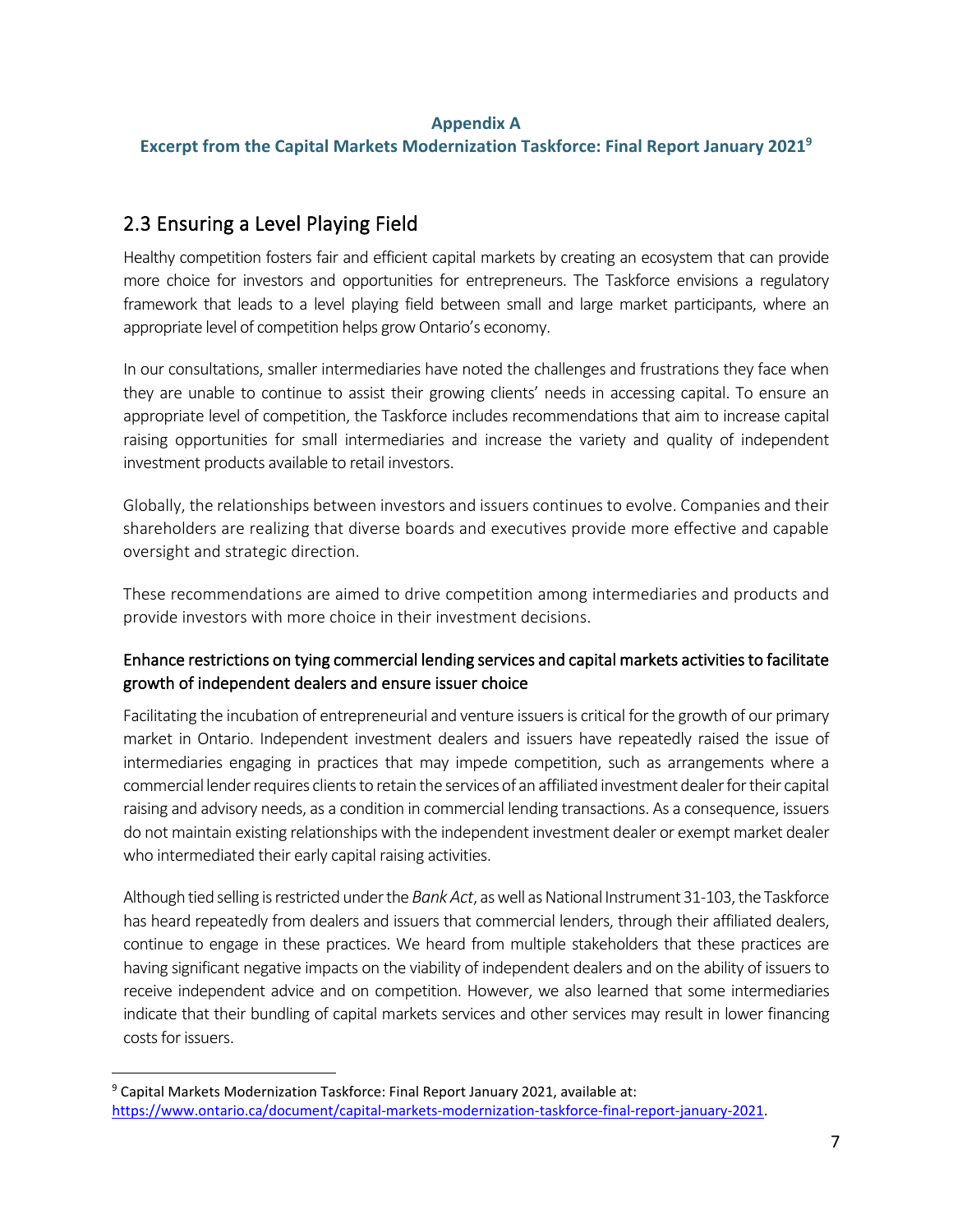#### **Appendix A**

**Excerpt from the Capital Markets Modernization Taskforce: Final Report January 2021 [9](#page-6-0)**

# 2.3 Ensuring a Level Playing Field

Healthy competition fosters fair and efficient capital markets by creating an ecosystem that can provide more choice for investors and opportunities for entrepreneurs. The Taskforce envisions a regulatory framework that leads to a level playing field between small and large market participants, where an appropriate level of competition helps grow Ontario's economy.

In our consultations, smaller intermediaries have noted the challenges and frustrations they face when they are unable to continue to assist their growing clients' needs in accessing capital. To ensure an appropriate level of competition, the Taskforce includes recommendations that aim to increase capital raising opportunities for small intermediaries and increase the variety and quality of independent investment products available to retail investors.

Globally, the relationships between investors and issuers continues to evolve. Companies and their shareholders are realizing that diverse boards and executives provide more effective and capable oversight and strategic direction.

These recommendations are aimed to drive competition among intermediaries and products and provide investors with more choice in their investment decisions.

## Enhance restrictions on tying commercial lending services and capital markets activities to facilitate growth of independent dealers and ensure issuer choice

Facilitating the incubation of entrepreneurial and venture issuers is critical for the growth of our primary market in Ontario. Independent investment dealers and issuers have repeatedly raised the issue of intermediaries engaging in practices that may impede competition, such as arrangements where a commercial lender requires clients to retain the services of an affiliated investment dealer for their capital raising and advisory needs, as a condition in commercial lending transactions. As a consequence, issuers do not maintain existing relationships with the independent investment dealer or exempt market dealer who intermediated their early capital raising activities.

Although tied selling is restricted under the *Bank Act*, as well as National Instrument 31-103, the Taskforce has heard repeatedly from dealers and issuers that commercial lenders, through their affiliated dealers, continue to engage in these practices. We heard from multiple stakeholders that these practices are having significant negative impacts on the viability of independent dealers and on the ability of issuers to receive independent advice and on competition. However, we also learned that some intermediaries indicate that their bundling of capital markets services and other services may result in lower financing costs for issuers.

<span id="page-6-0"></span><sup>9</sup> Capital Markets Modernization Taskforce: Final Report January 2021, available at: [https://www.ontario.ca/document/capital-markets-modernization-taskforce-final-report-january-2021.](https://www.ontario.ca/document/capital-markets-modernization-taskforce-final-report-january-2021)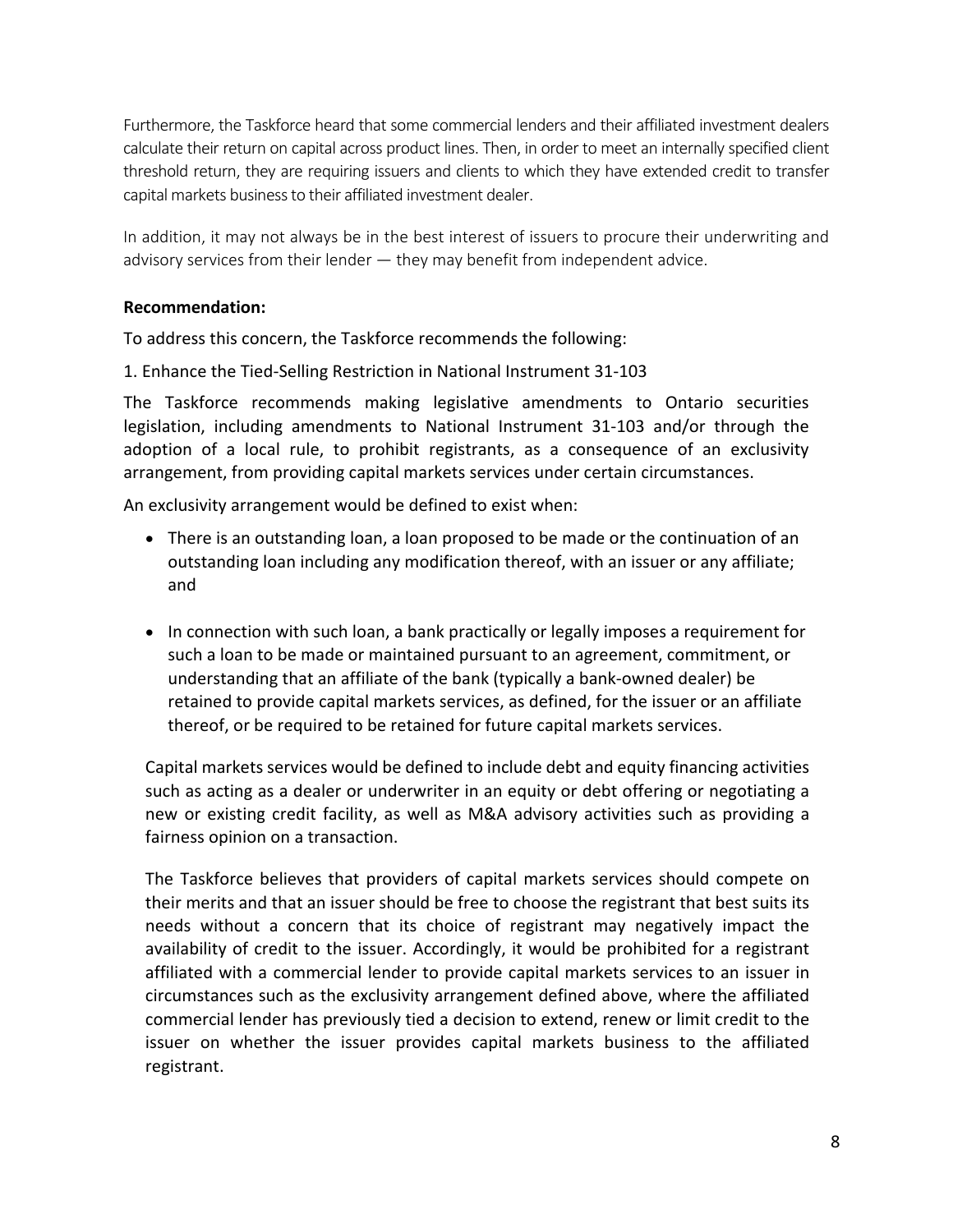Furthermore, the Taskforce heard that some commercial lenders and their affiliated investment dealers calculate their return on capital across product lines. Then, in order to meet an internally specified client threshold return, they are requiring issuers and clients to which they have extended credit to transfer capital markets business to their affiliated investment dealer.

In addition, it may not always be in the best interest of issuers to procure their underwriting and advisory services from their lender — they may benefit from independent advice.

#### **Recommendation:**

To address this concern, the Taskforce recommends the following:

1. Enhance the Tied-Selling Restriction in National Instrument 31-103

The Taskforce recommends making legislative amendments to Ontario securities legislation, including amendments to National Instrument 31-103 and/or through the adoption of a local rule, to prohibit registrants, as a consequence of an exclusivity arrangement, from providing capital markets services under certain circumstances.

An exclusivity arrangement would be defined to exist when:

- There is an outstanding loan, a loan proposed to be made or the continuation of an outstanding loan including any modification thereof, with an issuer or any affiliate; and
- In connection with such loan, a bank practically or legally imposes a requirement for such a loan to be made or maintained pursuant to an agreement, commitment, or understanding that an affiliate of the bank (typically a bank-owned dealer) be retained to provide capital markets services, as defined, for the issuer or an affiliate thereof, or be required to be retained for future capital markets services.

Capital markets services would be defined to include debt and equity financing activities such as acting as a dealer or underwriter in an equity or debt offering or negotiating a new or existing credit facility, as well as M&A advisory activities such as providing a fairness opinion on a transaction.

The Taskforce believes that providers of capital markets services should compete on their merits and that an issuer should be free to choose the registrant that best suits its needs without a concern that its choice of registrant may negatively impact the availability of credit to the issuer. Accordingly, it would be prohibited for a registrant affiliated with a commercial lender to provide capital markets services to an issuer in circumstances such as the exclusivity arrangement defined above, where the affiliated commercial lender has previously tied a decision to extend, renew or limit credit to the issuer on whether the issuer provides capital markets business to the affiliated registrant.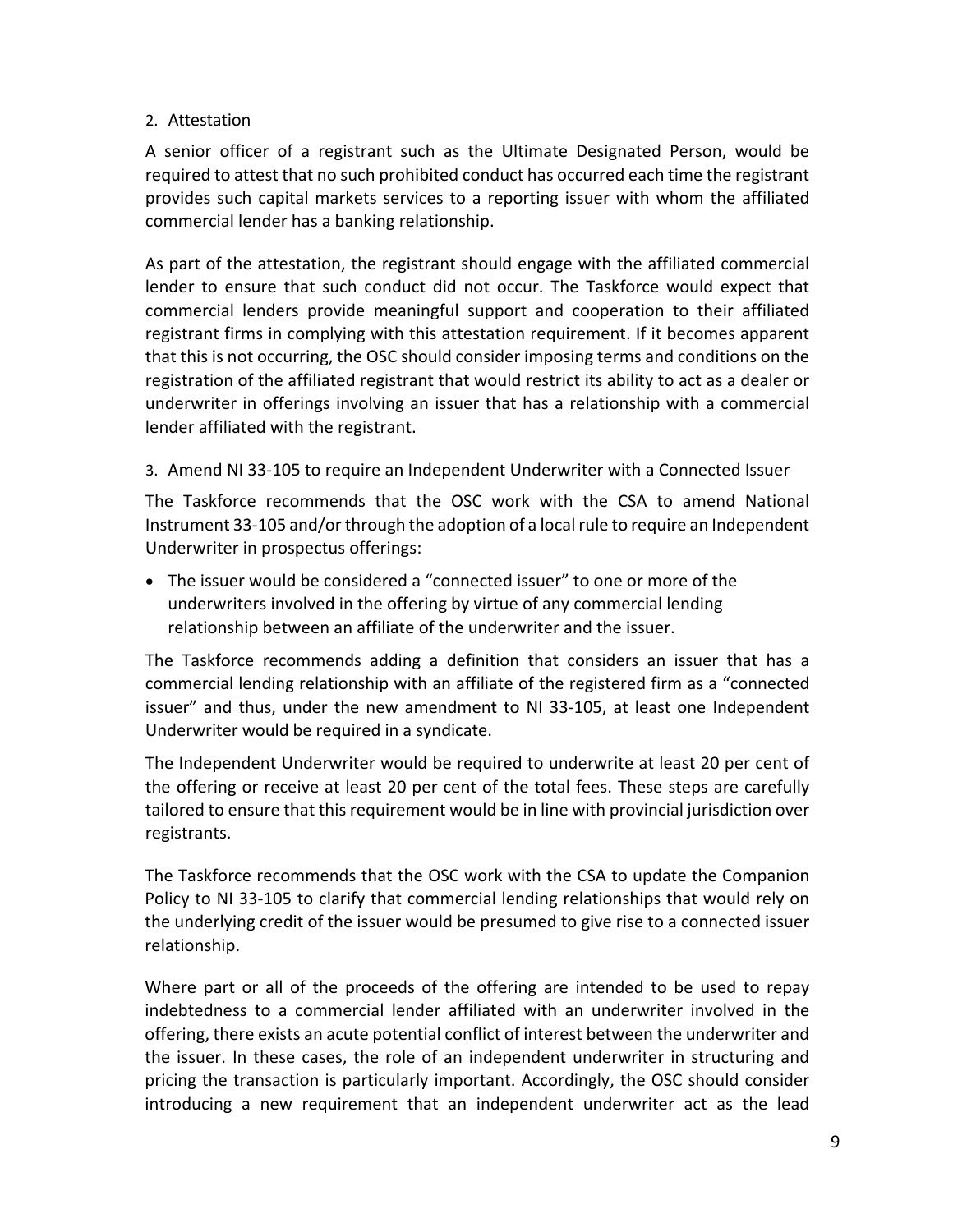### 2. Attestation

A senior officer of a registrant such as the Ultimate Designated Person, would be required to attest that no such prohibited conduct has occurred each time the registrant provides such capital markets services to a reporting issuer with whom the affiliated commercial lender has a banking relationship.

As part of the attestation, the registrant should engage with the affiliated commercial lender to ensure that such conduct did not occur. The Taskforce would expect that commercial lenders provide meaningful support and cooperation to their affiliated registrant firms in complying with this attestation requirement. If it becomes apparent that this is not occurring, the OSC should consider imposing terms and conditions on the registration of the affiliated registrant that would restrict its ability to act as a dealer or underwriter in offerings involving an issuer that has a relationship with a commercial lender affiliated with the registrant.

3. Amend NI 33-105 to require an Independent Underwriter with a Connected Issuer

The Taskforce recommends that the OSC work with the CSA to amend National Instrument 33-105 and/or through the adoption of a local rule to require an Independent Underwriter in prospectus offerings:

• The issuer would be considered a "connected issuer" to one or more of the underwriters involved in the offering by virtue of any commercial lending relationship between an affiliate of the underwriter and the issuer.

The Taskforce recommends adding a definition that considers an issuer that has a commercial lending relationship with an affiliate of the registered firm as a "connected issuer" and thus, under the new amendment to NI 33-105, at least one Independent Underwriter would be required in a syndicate.

The Independent Underwriter would be required to underwrite at least 20 per cent of the offering or receive at least 20 per cent of the total fees. These steps are carefully tailored to ensure that this requirement would be in line with provincial jurisdiction over registrants.

The Taskforce recommends that the OSC work with the CSA to update the Companion Policy to NI 33-105 to clarify that commercial lending relationships that would rely on the underlying credit of the issuer would be presumed to give rise to a connected issuer relationship.

Where part or all of the proceeds of the offering are intended to be used to repay indebtedness to a commercial lender affiliated with an underwriter involved in the offering, there exists an acute potential conflict of interest between the underwriter and the issuer. In these cases, the role of an independent underwriter in structuring and pricing the transaction is particularly important. Accordingly, the OSC should consider introducing a new requirement that an independent underwriter act as the lead